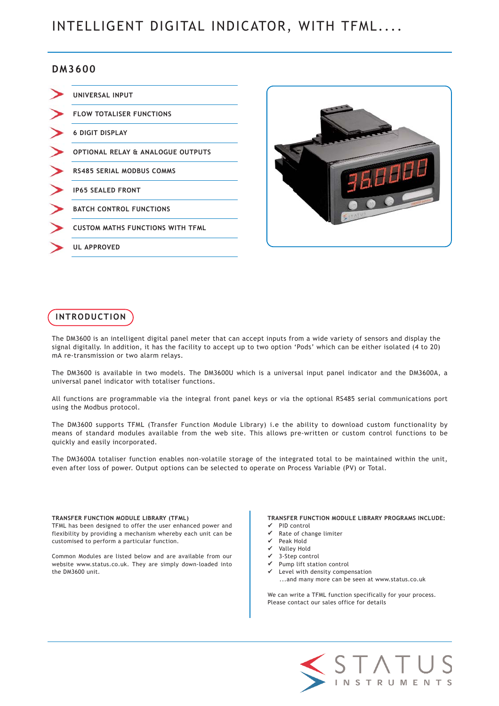# INTELLIGENT DIGITAL INDICATOR, WITH TFML....

## **DM3600**

| UNIVERSAL INPUT                              |
|----------------------------------------------|
| <b>FLOW TOTALISER FUNCTIONS</b>              |
| <b>6 DIGIT DISPLAY</b>                       |
| <b>OPTIONAL RELAY &amp; ANALOGUE OUTPUTS</b> |
| <b>RS485 SERIAL MODBUS COMMS</b>             |
| <b>IP65 SEALED FRONT</b>                     |
| <b>BATCH CONTROL FUNCTIONS</b>               |
| <b>CUSTOM MATHS FUNCTIONS WITH TFML</b>      |
| <b>UL APPROVED</b>                           |



# **INTRODUCTION**

The DM3600 is an intelligent digital panel meter that can accept inputs from a wide variety of sensors and display the signal digitally. In addition, it has the facility to accept up to two option 'Pods' which can be either isolated (4 to 20) mA re-transmission or two alarm relays.

The DM3600 is available in two models. The DM3600U which is a universal input panel indicator and the DM3600A, a universal panel indicator with totaliser functions.

All functions are programmable via the integral front panel keys or via the optional RS485 serial communications port using the Modbus protocol.

The DM3600 supports TFML (Transfer Function Module Library) i.e the ability to download custom functionality by means of standard modules available from the web site. This allows pre-written or custom control functions to be quickly and easily incorporated.

The DM3600A totaliser function enables non-volatile storage of the integrated total to be maintained within the unit, even after loss of power. Output options can be selected to operate on Process Variable (PV) or Total.

#### **TRANSFER FUNCTION MODULE LIBRARY (TFML)**

TFML has been designed to offer the user enhanced power and flexibility by providing a mechanism whereby each unit can be customised to perform a particular function.

Common Modules are listed below and are available from our website www.status.co.uk. They are simply down-loaded into the DM3600 unit.

**TRANSFER FUNCTION MODULE LIBRARY PROGRAMS INCLUDE:** PID control

- Rate of change limiter
- Peak Hold
- Valley Hold
- 9 3-Step control
- Pump lift station control
- Level with density compensation ...and many more can be seen at www.status.co.uk

We can write a TFML function specifically for your process. Please contact our sales office for details

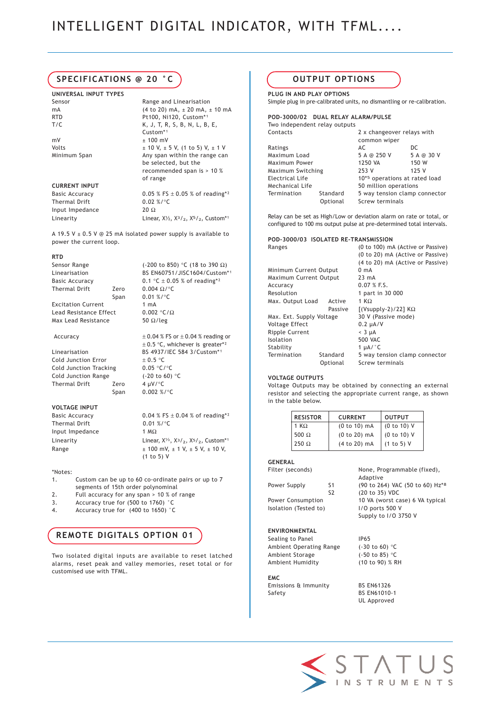## **SPECIFICATIONS @ 20 °C**

**UNIVERSAL INPUT TYPES** Sensor **Range and Linearisation** mA (4 to 20) mA, ± 20 mA, ± 10 mA RTD Pt100, Ni120, Custom\*1<br>T/C K, J, T, R, S, B, N, L, B  $mV + 100 mV$ Volts  $\pm 10 \text{ V}, \pm 5 \text{ V}, (1 \text{ to } 5) \text{ V}, \pm 1 \text{ V}$ Minimum Span Any span within the range can

#### **CURRENT INPUT**

| Basic Accuracy  | 0.05 % FS $\pm$ 0.05 % of reading*2                                             |
|-----------------|---------------------------------------------------------------------------------|
| Thermal Drift   | $0.02\%$ /°C                                                                    |
| Input Impedance | $20 \Omega$                                                                     |
| Linearity       | Linear, $X\frac{1}{2}$ , $X\frac{3}{2}$ , $X\frac{5}{2}$ , Custom <sup>*1</sup> |
|                 |                                                                                 |

A 19.5 V  $\pm$  0.5 V @ 25 mA isolated power supply is available to power the current loop.

K, J, T, R, S, B, N, L, B, E,

be selected, but the recommended span is > 10 %

Custom<sup>\*1</sup>

of range

#### **RTD**

| Sensor Range              |      | (-200 to 850) °C (18 to 390 $\Omega$ ) |
|---------------------------|------|----------------------------------------|
| Linearisation             |      | BS EN60751/JISC1604/Custom*1           |
| <b>Basic Accuracy</b>     |      | 0.1 °C $\pm$ 0.05 % of reading*2       |
| Thermal Drift             | Zero | 0.004 $\Omega$ /°C                     |
|                           | Span | $0.01 \%$ /°C                          |
| <b>Excitation Current</b> |      | $1 \text{ mA}$                         |
| Lead Resistance Effect    |      | $0.002 °C/\Omega$                      |
| Max Lead Resistance       |      | 50 $\Omega$ /leg                       |
|                           |      |                                        |

#### Accuracy  $\pm 0.04$  % FS or  $\pm 0.04$  % reading or

Linearisation BS 4937/IEC 584 3/Custom\*1 Cold Junction Error  $\pm 0.5$  °C Cold Junction Tracking 0.05 °C/°C Cold Junction Range (-20 to 60) °C Thermal Drift Zero 4 µV/°C Span 0.002 %/°C

#### **VOLTAGE INPUT**

Thermal Drift 0.01 %/°C Input Impedance 1 MΩ

Basic Accuracy 0.04 % FS  $\pm$  0.04 % of reading\*<sup>2</sup> Linearity Linear,  $X^{1/2}$ ,  $X^{3/2}$ ,  $X^{5/2}$ , Custom<sup>\*1</sup> Range  $\pm 100 \text{ mV}, \pm 1 \text{ V}, \pm 5 \text{ V}, \pm 10 \text{ V},$ (1 to 5) V

 $\pm$  0.5 °C, whichever is greater\*2

#### \*Notes:

- 1. Custom can be up to 60 co-ordinate pairs or up to 7 segments of 15th order polynominal
- 2. Full accuracy for any span > 10 % of range
- 3. Accuracy true for (500 to 1760) °C
- 4. Accuracy true for (400 to 1650) °C

## **REMOTE DIGITALS OPTION 01**

Two isolated digital inputs are available to reset latched alarms, reset peak and valley memories, reset total or for customised use with TFML.

## **OUTPUT OPTIONS**

**PLUG IN AND PLAY OPTIONS** Simple plug in pre-calibrated units, no dismantling or re-calibration.

### **POD-3000/02 DUAL RELAY ALARM/PULSE**

| Two independent relay outputs |          |                               |            |
|-------------------------------|----------|-------------------------------|------------|
| Contacts                      |          | 2 x changeover relays with    |            |
|                               |          | common wiper                  |            |
| Ratings                       |          | AC                            | DC         |
| Maximum Load                  |          | 5 A @ 250 V                   | 5 A @ 30 V |
| Maximum Power                 |          | 1250 VA                       | 150 W      |
| Maximum Switching             |          | 253 V                         | 125 V      |
| Electrical Life               |          | 10*5 operations at rated load |            |
| Mechanical Life               |          | 50 million operations         |            |
| Termination                   | Standard | 5 way tension clamp connector |            |
|                               | Optional | Screw terminals               |            |

Relay can be set as High/Low or deviation alarm on rate or total, or configured to 100 ms output pulse at pre-determined total intervals.

Ranges (0 to 100) mA (Active or Passive)

#### **POD-3000/03 ISOLATED RE-TRANSMISSION**

|                          | (0 to 20) mA (Active or Passive) |
|--------------------------|----------------------------------|
|                          | (4 to 20) mA (Active or Passive) |
| Minimum Current Output   | $0 \text{ mA}$                   |
| Maximum Current Output   | $23 \text{ mA}$                  |
|                          | 0.07 % F.S.                      |
|                          | 1 part in 30 000                 |
| Active                   | 1 K $\Omega$                     |
| Passive                  | $[(Vsupp1V-2)/22]$ K $\Omega$    |
| Max. Ext. Supply Voltage | 30 V (Passive mode)              |
|                          | $0.2 \mu A/V$                    |
|                          | $<$ 3 $\mu$ A                    |
|                          | <b>500 VAC</b>                   |
|                          | 1 $\mu$ A/ $\degree$ C           |
| Standard                 | 5 way tension clamp connector    |
| Optional                 | Screw terminals                  |
|                          |                                  |

#### **VOLTAGE OUTPUTS**

Voltage Outputs may be obtained by connecting an external resistor and selecting the appropriate current range, as shown in the table below.

| <b>RESISTOR</b> | <b>CURRENT</b> | <b>OUTPUT</b> |
|-----------------|----------------|---------------|
| 1 K $\Omega$    | $(0 to 10)$ mA | (0 to 10) V   |
| 500 $\Omega$    | (0 to 20) mA   | (0 to 10) V   |
| $250 \Omega$    | (4 to 20) mA   | (1 to 5) V    |

#### **GENERAL**

| Filter (seconds)        |                | None, Programmable (fixed),<br>Adaptive |
|-------------------------|----------------|-----------------------------------------|
| Power Supply            | S1             | (90 to 264) VAC (50 to 60) Hz*8         |
|                         | S <sub>2</sub> | (20 to 35) VDC                          |
| Power Consumption       |                | 10 VA (worst case) 6 VA typical         |
| Isolation (Tested to)   |                | 1/0 ports 500 V                         |
|                         |                | Supply to I/O 3750 V                    |
| <b>ENVIRONMENTAL</b>    |                |                                         |
| Sealing to Panel        |                | IP65                                    |
| Ambient Operating Range |                | $(-30 \text{ to } 60)$ °C               |
| Ambient Storage         |                | $(-50 \text{ to } 85)$ °C               |
| Ambient Humidity        |                | (10 to 90) % RH                         |
| <b>EMC</b>              |                |                                         |
| Emissions & Immunity    |                | <b>BS EN61326</b>                       |
| Safety                  |                | <b>BS EN61010-1</b>                     |
|                         |                | UL Approved                             |

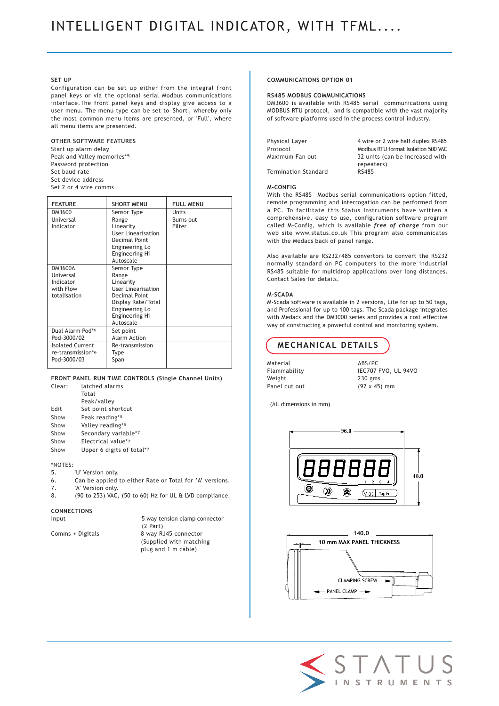# INTELLIGENT DIGITAL INDICATOR, WITH TFML....

### **SET UP**

Configuration can be set up either from the integral front panel keys or via the optional serial Modbus communications interface.The front panel keys and display give access to a user menu. The menu type can be set to 'Short', whereby only the most common menu items are presented, or 'Full', where all menu items are presented.

## **OTHER SOFTWARE FEATURES**

Start up alarm delay Peak and Valley memories\*5 Password protection Set baud rate Set device address Set 2 or 4 wire comms

| <b>FEATURE</b>                                                        | <b>SHORT MENU</b>                                                                                                                                      | <b>FULL MENU</b>                    |
|-----------------------------------------------------------------------|--------------------------------------------------------------------------------------------------------------------------------------------------------|-------------------------------------|
| DM3600<br>Universal<br>Indicator                                      | Sensor Type<br>Range<br>Linearity<br><b>User Linearisation</b><br>Decimal Point<br><b>Engineering Lo</b><br>Engineering Hi<br>Autoscale                | <b>Units</b><br>Burns out<br>Filter |
| DM3600A<br><b>Universal</b><br>Indicator<br>with Flow<br>totalisation | Sensor Type<br>Range<br>Linearity<br>User Linearisation<br>Decimal Point<br>Display Rate/Total<br>Engineering Lo<br><b>Engineering Hi</b><br>Autoscale |                                     |
| Dual Alarm Pod*6<br>Pod-3000/02                                       | Set point<br><b>Alarm Action</b>                                                                                                                       |                                     |
| <b>Isolated Current</b><br>re-transmission*6<br>Pod-3000/03           | Re-transmission<br>Type<br>Span                                                                                                                        |                                     |

#### **FRONT PANEL RUN TIME CONTROLS (Single Channel Units)**

| Clear: | latched alarms            |
|--------|---------------------------|
|        | Total                     |
|        | Peak/valley               |
| Edit   | Set point shortcut        |
| Show   | Peak reading*5            |
| Show   | Valley reading*5          |
| Show   | Secondary variable*7      |
| Show   | Electrical value*7        |
| Show   | Upper 6 digits of total*7 |

## \*NOTES:

- 
- 5. *'U' Version only.*<br>6. Can be applied Can be applied to either Rate or Total for 'A' versions.
- 7. 'A' Version only.
- 8. (90 to 253) VAC, (50 to 60) Hz for UL & LVD compliance.

## **CONNECTIONS**

| $\sim$<br>w<br>۰, |
|-------------------|
|-------------------|

5 way tension clamp connector (2 Part) Comms + Digitals 8 way RJ45 connector (Supplied with matching plug and 1 m cable)

### **COMMUNICATIONS OPTION 01**

#### **RS485 MODBUS COMMUNICATIONS**

DM3600 is available with RS485 serial communications using MODBUS RTU protocol, and is compatible with the vast majority of software platforms used in the process control industry.

| Physical Layer       | 4 wire or 2 wire half duplex RS485  |
|----------------------|-------------------------------------|
| Protocol             | Modbus RTU format Isolation 500 VAC |
| Maximum Fan out      | 32 units (can be increased with     |
|                      | repeaters)                          |
| Termination Standard | <b>RS485</b>                        |
|                      |                                     |

#### **M-CONFIG**

With the RS485 Modbus serial communications option fitted, remote programming and interrogation can be performed from a PC. To facilitate this Status Instruments have written a comprehensive, easy to use, configuration software program called M-Config, which is available *free of charge* from our web site www.status.co.uk This program also communicates with the Medacs back of panel range.

Also available are RS232/485 convertors to convert the RS232 normally standard on PC computers to the more industrial RS485 suitable for multidrop applications over long distances. Contact Sales for details.

#### **M-SCADA**

M-Scada software is available in 2 versions, Lite for up to 50 tags, and Professional for up to 100 tags. The Scada package integrates with Medacs and the DM3000 series and provides a cost effective way of constructing a powerful control and monitoring system.

# **MECHANICAL DETAILS**

Material ABS/PC Weight 230 gms Panel cut out (92 x 45) mm

Flammability IEC707 FVO, UL 94VO

(All dimensions in mm)